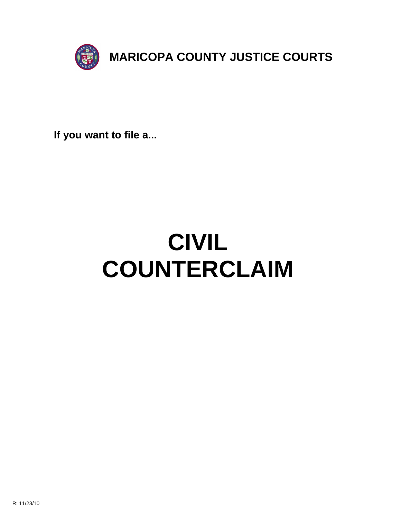

**If you want to file a...**

# **CIVIL COUNTERCLAIM**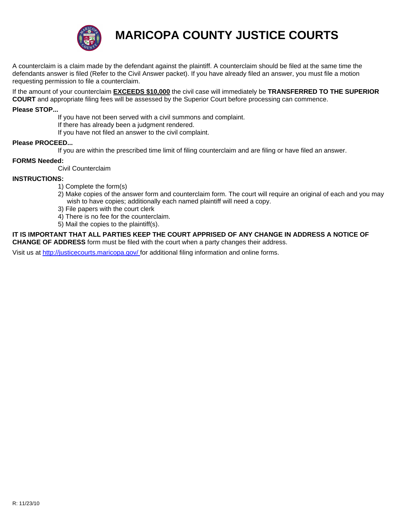

## **MARICOPA COUNTY JUSTICE COURTS**

A counterclaim is a claim made by the defendant against the plaintiff. A counterclaim should be filed at the same time the defendants answer is filed (Refer to the Civil Answer packet). If you have already filed an answer, you must file a motion requesting permission to file a counterclaim.

If the amount of your counterclaim **EXCEEDS \$10,000** the civil case will immediately be **TRANSFERRED TO THE SUPERIOR COURT** and appropriate filing fees will be assessed by the Superior Court before processing can commence.

#### **Please STOP...**

If you have not been served with a civil summons and complaint. If there has already been a judgment rendered.

If you have not filed an answer to the civil complaint.

#### **Please PROCEED...**

If you are within the prescribed time limit of filing counterclaim and are filing or have filed an answer.

#### **FORMS Needed:**

Civil Counterclaim

#### **INSTRUCTIONS:**

- 1) Complete the form(s)
- 2) Make copies of the answer form and counterclaim form. The court will require an original of each and you may wish to have copies; additionally each named plaintiff will need a copy.
- [3\) File papers with the court c](http://justicecourts.maricopa.gov/)lerk
- 4) There is no fee for the counterclaim.
- 5) Mail the copies to the plaintiff(s).

**IT IS IMPORTANT THAT ALL PARTIES KEEP THE COURT APPRISED OF ANY CHANGE IN ADDRESS A NOTICE OF CHANGE OF ADDRESS** form must be filed with the court when a party changes their address.

Visit us at http://justicecourts.maricopa.gov/ for additional filing information and online forms.